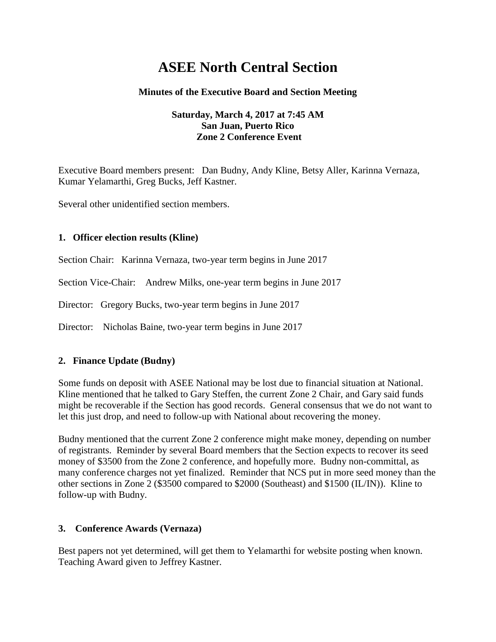# **ASEE North Central Section**

#### **Minutes of the Executive Board and Section Meeting**

#### **Saturday, March 4, 2017 at 7:45 AM San Juan, Puerto Rico Zone 2 Conference Event**

Executive Board members present: Dan Budny, Andy Kline, Betsy Aller, Karinna Vernaza, Kumar Yelamarthi, Greg Bucks, Jeff Kastner.

Several other unidentified section members.

#### **1. Officer election results (Kline)**

Section Chair: Karinna Vernaza, two-year term begins in June 2017

Section Vice-Chair: Andrew Milks, one-year term begins in June 2017

Director: Gregory Bucks, two-year term begins in June 2017

Director: Nicholas Baine, two-year term begins in June 2017

#### **2. Finance Update (Budny)**

Some funds on deposit with ASEE National may be lost due to financial situation at National. Kline mentioned that he talked to Gary Steffen, the current Zone 2 Chair, and Gary said funds might be recoverable if the Section has good records. General consensus that we do not want to let this just drop, and need to follow-up with National about recovering the money.

Budny mentioned that the current Zone 2 conference might make money, depending on number of registrants. Reminder by several Board members that the Section expects to recover its seed money of \$3500 from the Zone 2 conference, and hopefully more. Budny non-committal, as many conference charges not yet finalized. Reminder that NCS put in more seed money than the other sections in Zone 2 (\$3500 compared to \$2000 (Southeast) and \$1500 (IL/IN)). Kline to follow-up with Budny.

#### **3. Conference Awards (Vernaza)**

Best papers not yet determined, will get them to Yelamarthi for website posting when known. Teaching Award given to Jeffrey Kastner.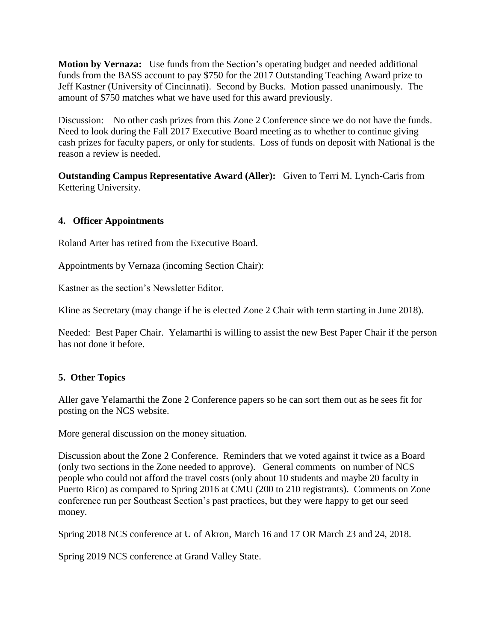**Motion by Vernaza:** Use funds from the Section's operating budget and needed additional funds from the BASS account to pay \$750 for the 2017 Outstanding Teaching Award prize to Jeff Kastner (University of Cincinnati). Second by Bucks. Motion passed unanimously. The amount of \$750 matches what we have used for this award previously.

Discussion: No other cash prizes from this Zone 2 Conference since we do not have the funds. Need to look during the Fall 2017 Executive Board meeting as to whether to continue giving cash prizes for faculty papers, or only for students. Loss of funds on deposit with National is the reason a review is needed.

**Outstanding Campus Representative Award (Aller):** Given to Terri M. Lynch-Caris from Kettering University.

### **4. Officer Appointments**

Roland Arter has retired from the Executive Board.

Appointments by Vernaza (incoming Section Chair):

Kastner as the section's Newsletter Editor.

Kline as Secretary (may change if he is elected Zone 2 Chair with term starting in June 2018).

Needed: Best Paper Chair. Yelamarthi is willing to assist the new Best Paper Chair if the person has not done it before.

## **5. Other Topics**

Aller gave Yelamarthi the Zone 2 Conference papers so he can sort them out as he sees fit for posting on the NCS website.

More general discussion on the money situation.

Discussion about the Zone 2 Conference. Reminders that we voted against it twice as a Board (only two sections in the Zone needed to approve). General comments on number of NCS people who could not afford the travel costs (only about 10 students and maybe 20 faculty in Puerto Rico) as compared to Spring 2016 at CMU (200 to 210 registrants). Comments on Zone conference run per Southeast Section's past practices, but they were happy to get our seed money.

Spring 2018 NCS conference at U of Akron, March 16 and 17 OR March 23 and 24, 2018.

Spring 2019 NCS conference at Grand Valley State.